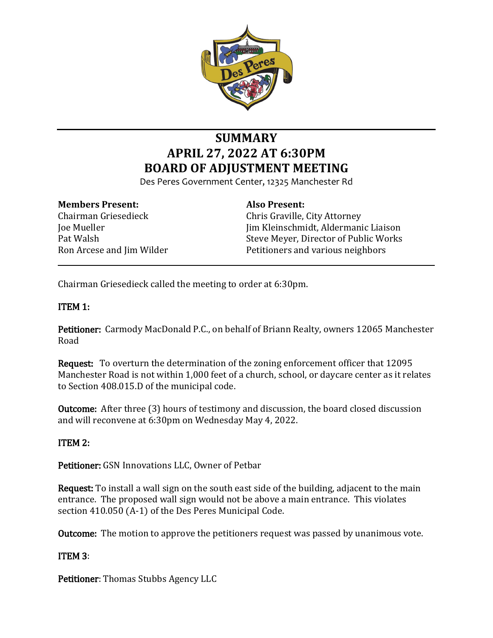

# **SUMMARY APRIL 27, 2022 AT 6:30PM BOARD OF ADJUSTMENT MEETING**

Des Peres Government Center, 12325 Manchester Rd

#### **Members Present:**

Chairman Griesedieck Joe Mueller Pat Walsh Ron Arcese and Jim Wilder

# **Also Present:**

Chris Graville, City Attorney Jim Kleinschmidt, Aldermanic Liaison Steve Meyer, Director of Public Works Petitioners and various neighbors

Chairman Griesedieck called the meeting to order at 6:30pm.

# ITEM 1:

Petitioner: Carmody MacDonald P.C., on behalf of Briann Realty, owners 12065 Manchester Road

Request: To overturn the determination of the zoning enforcement officer that 12095 Manchester Road is not within 1,000 feet of a church, school, or daycare center as it relates to Section 408.015.D of the municipal code.

Outcome: After three (3) hours of testimony and discussion, the board closed discussion and will reconvene at 6:30pm on Wednesday May 4, 2022.

### ITEM 2:

Petitioner: GSN Innovations LLC, Owner of Petbar

Request: To install a wall sign on the south east side of the building, adjacent to the main entrance. The proposed wall sign would not be above a main entrance. This violates section 410.050 (A-1) of the Des Peres Municipal Code.

Outcome: The motion to approve the petitioners request was passed by unanimous vote.

### ITEM 3:

Petitioner: Thomas Stubbs Agency LLC